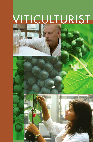# VITICULTURIST